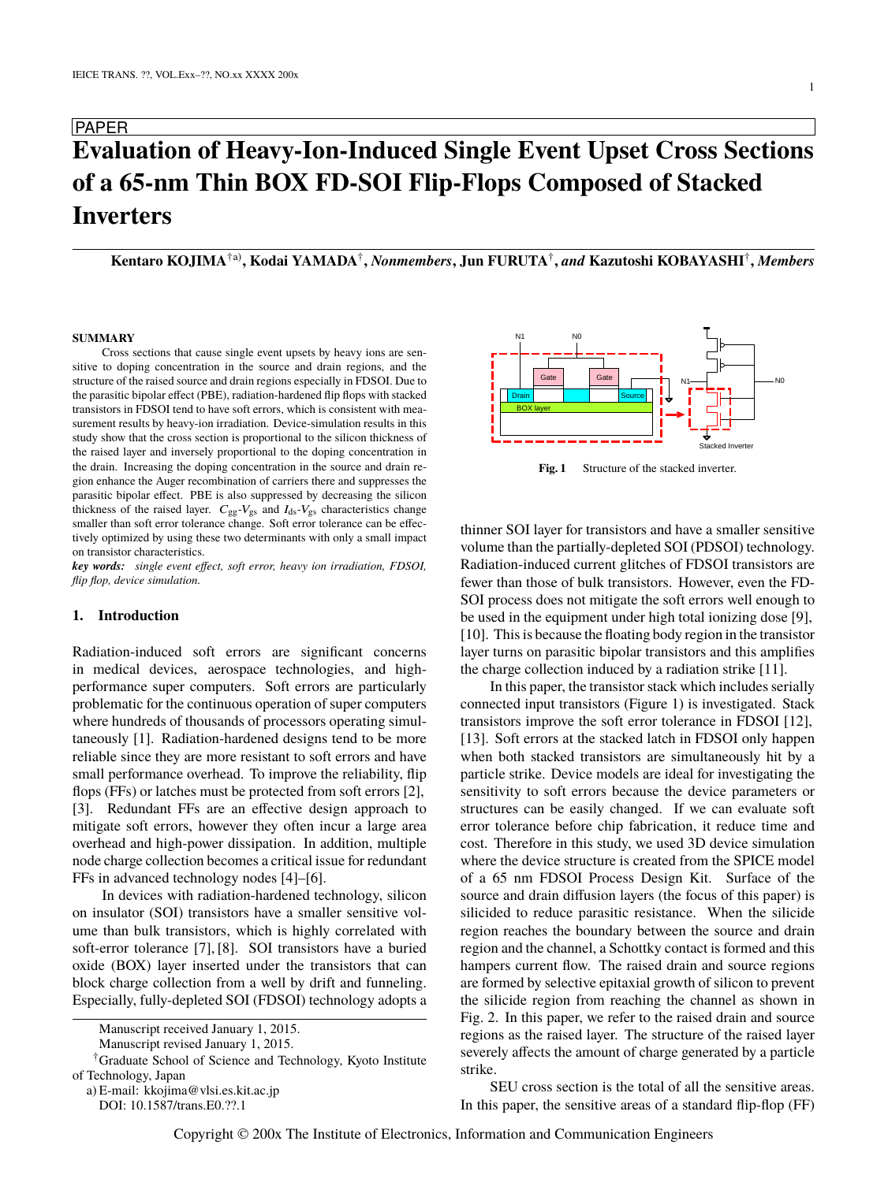# PAPER **Evaluation of Heavy-Ion-Induced Single Event Upset Cross Sections of a 65-nm Thin BOX FD-SOI Flip-Flops Composed of Stacked Inverters**

**Kentaro KOJIMA**†a)**, Kodai YAMADA**† **,** *Nonmembers***, Jun FURUTA**† **,** *and* **Kazutoshi KOBAYASHI**† **,** *Members*

#### **SUMMARY**

Cross sections that cause single event upsets by heavy ions are sensitive to doping concentration in the source and drain regions, and the structure of the raised source and drain regions especially in FDSOI. Due to the parasitic bipolar effect (PBE), radiation-hardened flip flops with stacked transistors in FDSOI tend to have soft errors, which is consistent with measurement results by heavy-ion irradiation. Device-simulation results in this study show that the cross section is proportional to the silicon thickness of the raised layer and inversely proportional to the doping concentration in the drain. Increasing the doping concentration in the source and drain region enhance the Auger recombination of carriers there and suppresses the parasitic bipolar effect. PBE is also suppressed by decreasing the silicon thickness of the raised layer.  $C_{gg}$ - $V_{gs}$  and  $I_{ds}$ - $V_{gs}$  characteristics change smaller than soft error tolerance change. Soft error tolerance can be effectively optimized by using these two determinants with only a small impact on transistor characteristics.

*key words: single event effect, soft error, heavy ion irradiation, FDSOI, flip flop, device simulation.*

## **1. Introduction**

Radiation-induced soft errors are significant concerns in medical devices, aerospace technologies, and highperformance super computers. Soft errors are particularly problematic for the continuous operation of super computers where hundreds of thousands of processors operating simultaneously [1]. Radiation-hardened designs tend to be more reliable since they are more resistant to soft errors and have small performance overhead. To improve the reliability, flip flops (FFs) or latches must be protected from soft errors [2], [3]. Redundant FFs are an effective design approach to mitigate soft errors, however they often incur a large area overhead and high-power dissipation. In addition, multiple node charge collection becomes a critical issue for redundant FFs in advanced technology nodes [4]–[6].

In devices with radiation-hardened technology, silicon on insulator (SOI) transistors have a smaller sensitive volume than bulk transistors, which is highly correlated with soft-error tolerance [7], [8]. SOI transistors have a buried oxide (BOX) layer inserted under the transistors that can block charge collection from a well by drift and funneling. Especially, fully-depleted SOI (FDSOI) technology adopts a

†Graduate School of Science and Technology, Kyoto Institute of Technology, Japan

a) E-mail: kkojima@vlsi.es.kit.ac.jp



Fig. 1 Structure of the stacked inverter.

thinner SOI layer for transistors and have a smaller sensitive volume than the partially-depleted SOI (PDSOI) technology. Radiation-induced current glitches of FDSOI transistors are fewer than those of bulk transistors. However, even the FD-SOI process does not mitigate the soft errors well enough to be used in the equipment under high total ionizing dose [9], [10]. This is because the floating body region in the transistor layer turns on parasitic bipolar transistors and this amplifies the charge collection induced by a radiation strike [11].

In this paper, the transistor stack which includes serially connected input transistors (Figure 1) is investigated. Stack transistors improve the soft error tolerance in FDSOI [12], [13]. Soft errors at the stacked latch in FDSOI only happen when both stacked transistors are simultaneously hit by a particle strike. Device models are ideal for investigating the sensitivity to soft errors because the device parameters or structures can be easily changed. If we can evaluate soft error tolerance before chip fabrication, it reduce time and cost. Therefore in this study, we used 3D device simulation where the device structure is created from the SPICE model of a 65 nm FDSOI Process Design Kit. Surface of the source and drain diffusion layers (the focus of this paper) is silicided to reduce parasitic resistance. When the silicide region reaches the boundary between the source and drain region and the channel, a Schottky contact is formed and this hampers current flow. The raised drain and source regions are formed by selective epitaxial growth of silicon to prevent the silicide region from reaching the channel as shown in Fig. 2. In this paper, we refer to the raised drain and source regions as the raised layer. The structure of the raised layer severely affects the amount of charge generated by a particle strike.

SEU cross section is the total of all the sensitive areas. In this paper, the sensitive areas of a standard flip-flop (FF)

Manuscript received January 1, 2015.

Manuscript revised January 1, 2015.

DOI: 10.1587/trans.E0.??.1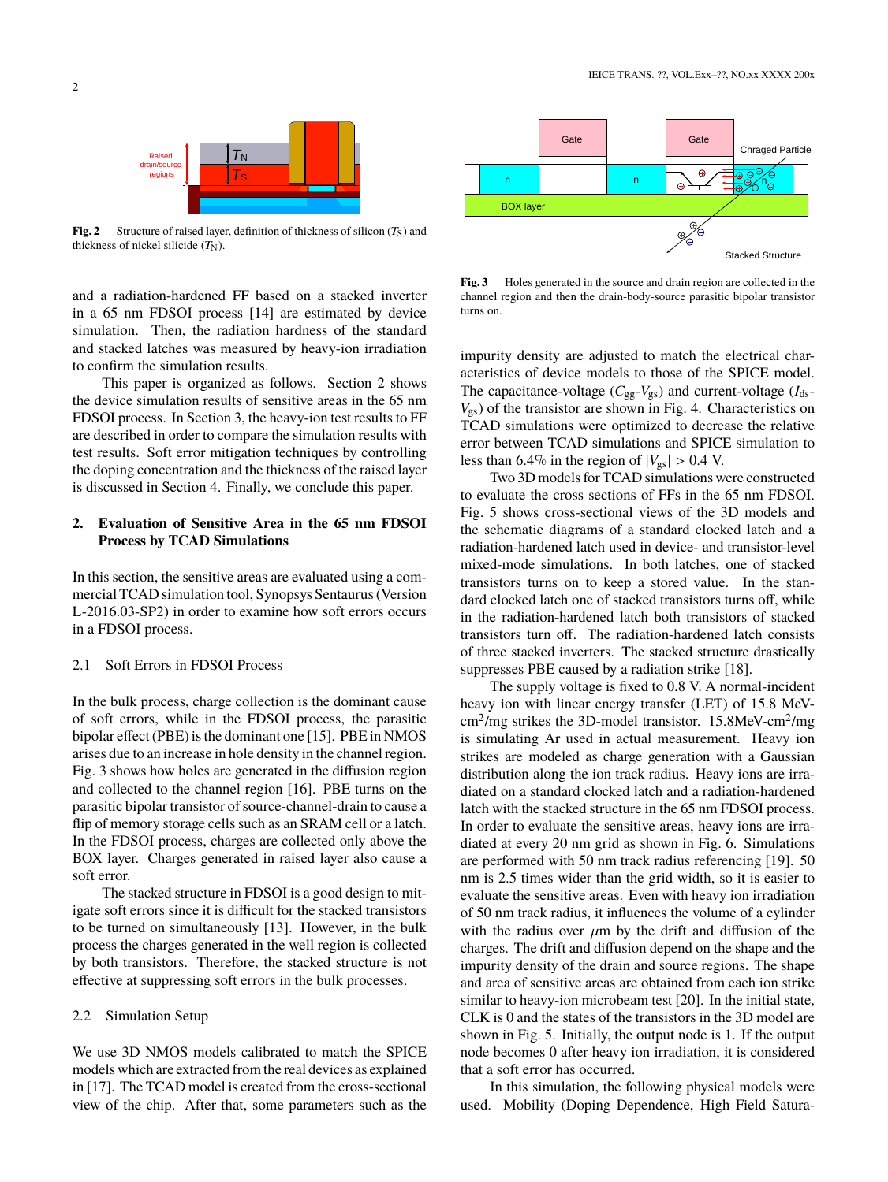

**Fig. 2** Structure of raised layer, definition of thickness of silicon  $(T_s)$  and thickness of nickel silicide  $(T<sub>N</sub>)$ .

and a radiation-hardened FF based on a stacked inverter in a 65 nm FDSOI process [14] are estimated by device simulation. Then, the radiation hardness of the standard and stacked latches was measured by heavy-ion irradiation to confirm the simulation results.

This paper is organized as follows. Section 2 shows the device simulation results of sensitive areas in the 65 nm FDSOI process. In Section 3, the heavy-ion test results to FF are described in order to compare the simulation results with test results. Soft error mitigation techniques by controlling the doping concentration and the thickness of the raised layer is discussed in Section 4. Finally, we conclude this paper.

# **2. Evaluation of Sensitive Area in the 65 nm FDSOI Process by TCAD Simulations**

In this section, the sensitive areas are evaluated using a commercial TCAD simulation tool, Synopsys Sentaurus (Version L-2016.03-SP2) in order to examine how soft errors occurs in a FDSOI process.

# 2.1 Soft Errors in FDSOI Process

In the bulk process, charge collection is the dominant cause of soft errors, while in the FDSOI process, the parasitic bipolar effect (PBE) is the dominant one [15]. PBE in NMOS arises due to an increase in hole density in the channel region. Fig. 3 shows how holes are generated in the diffusion region and collected to the channel region [16]. PBE turns on the parasitic bipolar transistor of source-channel-drain to cause a flip of memory storage cells such as an SRAM cell or a latch. In the FDSOI process, charges are collected only above the BOX layer. Charges generated in raised layer also cause a soft error.

The stacked structure in FDSOI is a good design to mitigate soft errors since it is difficult for the stacked transistors to be turned on simultaneously [13]. However, in the bulk process the charges generated in the well region is collected by both transistors. Therefore, the stacked structure is not effective at suppressing soft errors in the bulk processes.

## 2.2 Simulation Setup

We use 3D NMOS models calibrated to match the SPICE models which are extracted from the real devices as explained in [17]. The TCAD model is created from the cross-sectional view of the chip. After that, some parameters such as the



**Fig. 3** Holes generated in the source and drain region are collected in the channel region and then the drain-body-source parasitic bipolar transistor turns on.

impurity density are adjusted to match the electrical characteristics of device models to those of the SPICE model. The capacitance-voltage  $(C_{gg} - V_{gs})$  and current-voltage  $(I_{ds} - I_{ds})$  $V_{\rm gs}$ ) of the transistor are shown in Fig. 4. Characteristics on TCAD simulations were optimized to decrease the relative error between TCAD simulations and SPICE simulation to less than 6.4% in the region of  $|V_{gs}| > 0.4$  V.

Two 3D models for TCAD simulations were constructed to evaluate the cross sections of FFs in the 65 nm FDSOI. Fig. 5 shows cross-sectional views of the 3D models and the schematic diagrams of a standard clocked latch and a radiation-hardened latch used in device- and transistor-level mixed-mode simulations. In both latches, one of stacked transistors turns on to keep a stored value. In the standard clocked latch one of stacked transistors turns off, while in the radiation-hardened latch both transistors of stacked transistors turn off. The radiation-hardened latch consists of three stacked inverters. The stacked structure drastically suppresses PBE caused by a radiation strike [18].

The supply voltage is fixed to 0.8 V. A normal-incident heavy ion with linear energy transfer (LET) of 15.8 MeVcm<sup>2</sup>/mg strikes the 3D-model transistor. 15.8MeV-cm<sup>2</sup>/mg is simulating Ar used in actual measurement. Heavy ion strikes are modeled as charge generation with a Gaussian distribution along the ion track radius. Heavy ions are irradiated on a standard clocked latch and a radiation-hardened latch with the stacked structure in the 65 nm FDSOI process. In order to evaluate the sensitive areas, heavy ions are irradiated at every 20 nm grid as shown in Fig. 6. Simulations are performed with 50 nm track radius referencing [19]. 50 nm is 2.5 times wider than the grid width, so it is easier to evaluate the sensitive areas. Even with heavy ion irradiation of 50 nm track radius, it influences the volume of a cylinder with the radius over  $\mu$ m by the drift and diffusion of the charges. The drift and diffusion depend on the shape and the impurity density of the drain and source regions. The shape and area of sensitive areas are obtained from each ion strike similar to heavy-ion microbeam test [20]. In the initial state, CLK is 0 and the states of the transistors in the 3D model are shown in Fig. 5. Initially, the output node is 1. If the output node becomes 0 after heavy ion irradiation, it is considered that a soft error has occurred.

In this simulation, the following physical models were used. Mobility (Doping Dependence, High Field Satura-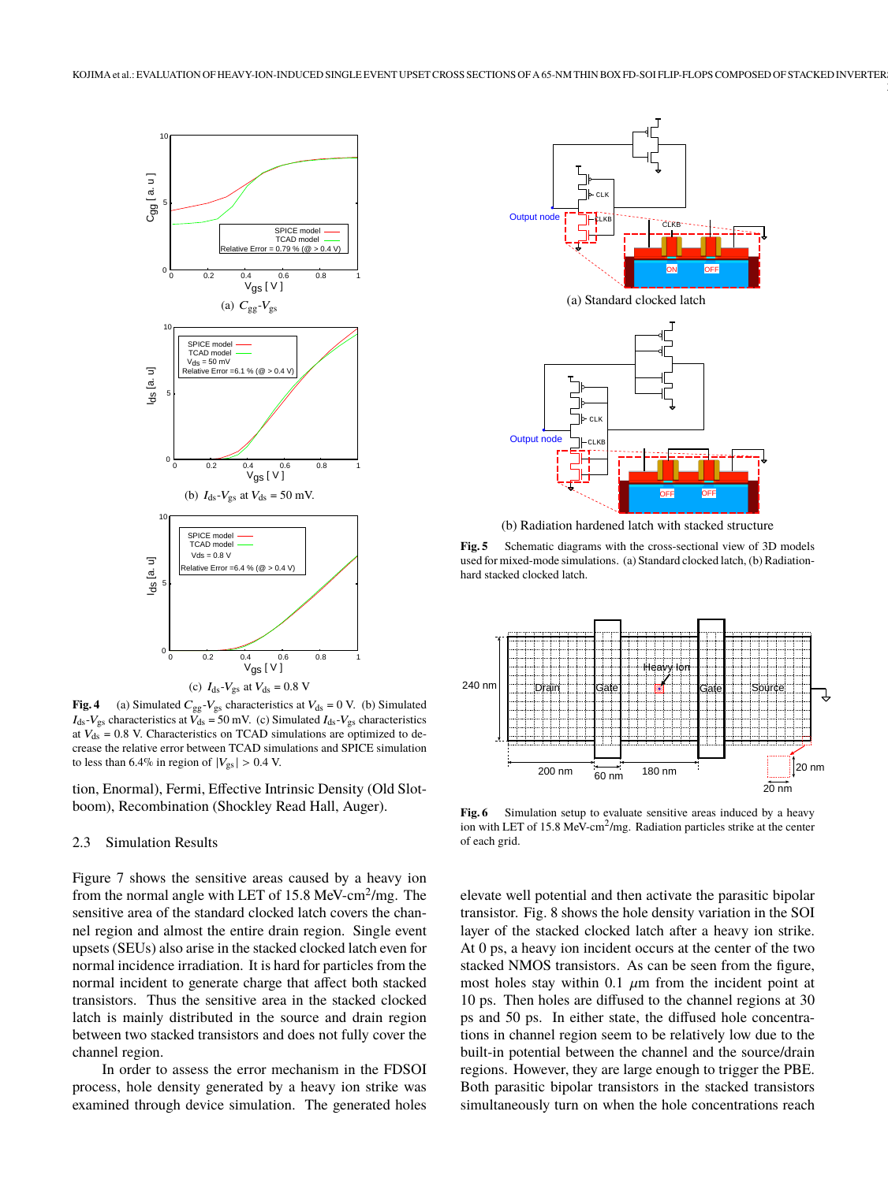

**Fig. 4** (a) Simulated  $C_{gg}$ - $V_{gs}$  characteristics at  $V_{ds} = 0$  V. (b) Simulated  $I_{ds}$ - $V_{gs}$  characteristics at  $V_{ds}$  = 50 mV. (c) Simulated  $I_{ds}$ - $V_{gs}$  characteristics at  $V_{ds}$  = 0.8 V. Characteristics on TCAD simulations are optimized to decrease the relative error between TCAD simulations and SPICE simulation to less than 6.4% in region of  $|V_{gs}| > 0.4$  V.

tion, Enormal), Fermi, Effective Intrinsic Density (Old Slotboom), Recombination (Shockley Read Hall, Auger).

#### 2.3 Simulation Results

Figure 7 shows the sensitive areas caused by a heavy ion from the normal angle with LET of 15.8 MeV-cm<sup>2</sup>/mg. The sensitive area of the standard clocked latch covers the channel region and almost the entire drain region. Single event upsets (SEUs) also arise in the stacked clocked latch even for normal incidence irradiation. It is hard for particles from the normal incident to generate charge that affect both stacked transistors. Thus the sensitive area in the stacked clocked latch is mainly distributed in the source and drain region between two stacked transistors and does not fully cover the channel region.

In order to assess the error mechanism in the FDSOI process, hole density generated by a heavy ion strike was examined through device simulation. The generated holes



(b) Radiation hardened latch with stacked structure

**Fig. 5** Schematic diagrams with the cross-sectional view of 3D models used for mixed-mode simulations. (a) Standard clocked latch, (b) Radiationhard stacked clocked latch.



**Fig. 6** Simulation setup to evaluate sensitive areas induced by a heavy ion with LET of 15.8 MeV-cm<sup>2</sup>/mg. Radiation particles strike at the center of each grid.

elevate well potential and then activate the parasitic bipolar transistor. Fig. 8 shows the hole density variation in the SOI layer of the stacked clocked latch after a heavy ion strike. At 0 ps, a heavy ion incident occurs at the center of the two stacked NMOS transistors. As can be seen from the figure, most holes stay within 0.1  $\mu$ m from the incident point at 10 ps. Then holes are diffused to the channel regions at 30 ps and 50 ps. In either state, the diffused hole concentrations in channel region seem to be relatively low due to the built-in potential between the channel and the source/drain regions. However, they are large enough to trigger the PBE. Both parasitic bipolar transistors in the stacked transistors simultaneously turn on when the hole concentrations reach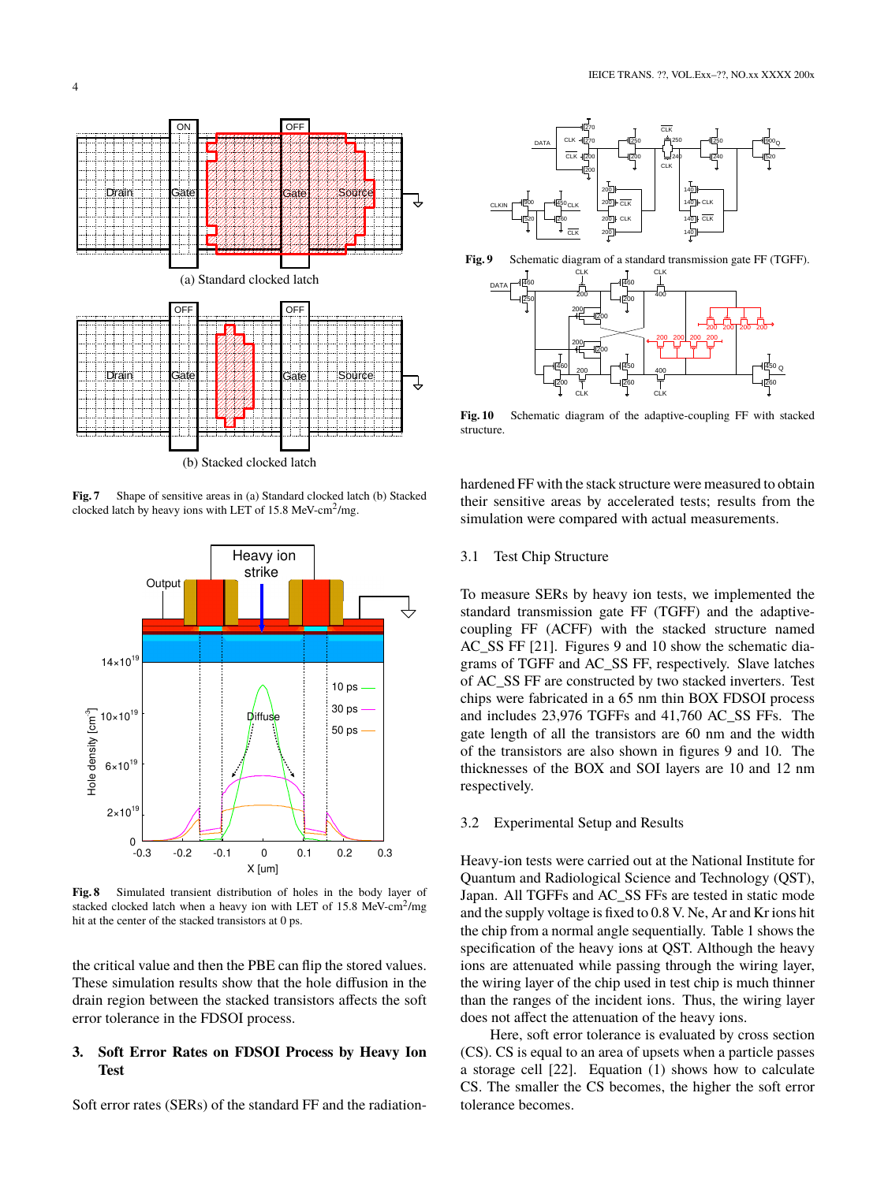

**Fig. 7** Shape of sensitive areas in (a) Standard clocked latch (b) Stacked clocked latch by heavy ions with LET of 15.8 MeV-cm<sup>2</sup> /mg.



**Fig. 8** Simulated transient distribution of holes in the body layer of stacked clocked latch when a heavy ion with LET of 15.8 MeV-cm<sup>2</sup>/mg hit at the center of the stacked transistors at 0 ps.

the critical value and then the PBE can flip the stored values. These simulation results show that the hole diffusion in the drain region between the stacked transistors affects the soft error tolerance in the FDSOI process.

# **3. Soft Error Rates on FDSOI Process by Heavy Ion Test**

Soft error rates (SERs) of the standard FF and the radiation-







**Fig. 10** Schematic diagram of the adaptive-coupling FF with stacked structure.

hardened FF with the stack structure were measured to obtain their sensitive areas by accelerated tests; results from the simulation were compared with actual measurements.

# 3.1 Test Chip Structure

To measure SERs by heavy ion tests, we implemented the standard transmission gate FF (TGFF) and the adaptivecoupling FF (ACFF) with the stacked structure named AC SS FF [21]. Figures 9 and 10 show the schematic diagrams of TGFF and AC\_SS FF, respectively. Slave latches of AC\_SS FF are constructed by two stacked inverters. Test chips were fabricated in a 65 nm thin BOX FDSOI process and includes 23,976 TGFFs and 41,760 AC\_SS FFs. The gate length of all the transistors are 60 nm and the width of the transistors are also shown in figures 9 and 10. The thicknesses of the BOX and SOI layers are 10 and 12 nm respectively.

## 3.2 Experimental Setup and Results

Heavy-ion tests were carried out at the National Institute for Quantum and Radiological Science and Technology (QST), Japan. All TGFFs and AC\_SS FFs are tested in static mode and the supply voltage is fixed to 0.8 V. Ne, Ar and Kr ions hit the chip from a normal angle sequentially. Table 1 shows the specification of the heavy ions at QST. Although the heavy ions are attenuated while passing through the wiring layer, the wiring layer of the chip used in test chip is much thinner than the ranges of the incident ions. Thus, the wiring layer does not affect the attenuation of the heavy ions.

Here, soft error tolerance is evaluated by cross section (CS). CS is equal to an area of upsets when a particle passes a storage cell [22]. Equation (1) shows how to calculate CS. The smaller the CS becomes, the higher the soft error tolerance becomes.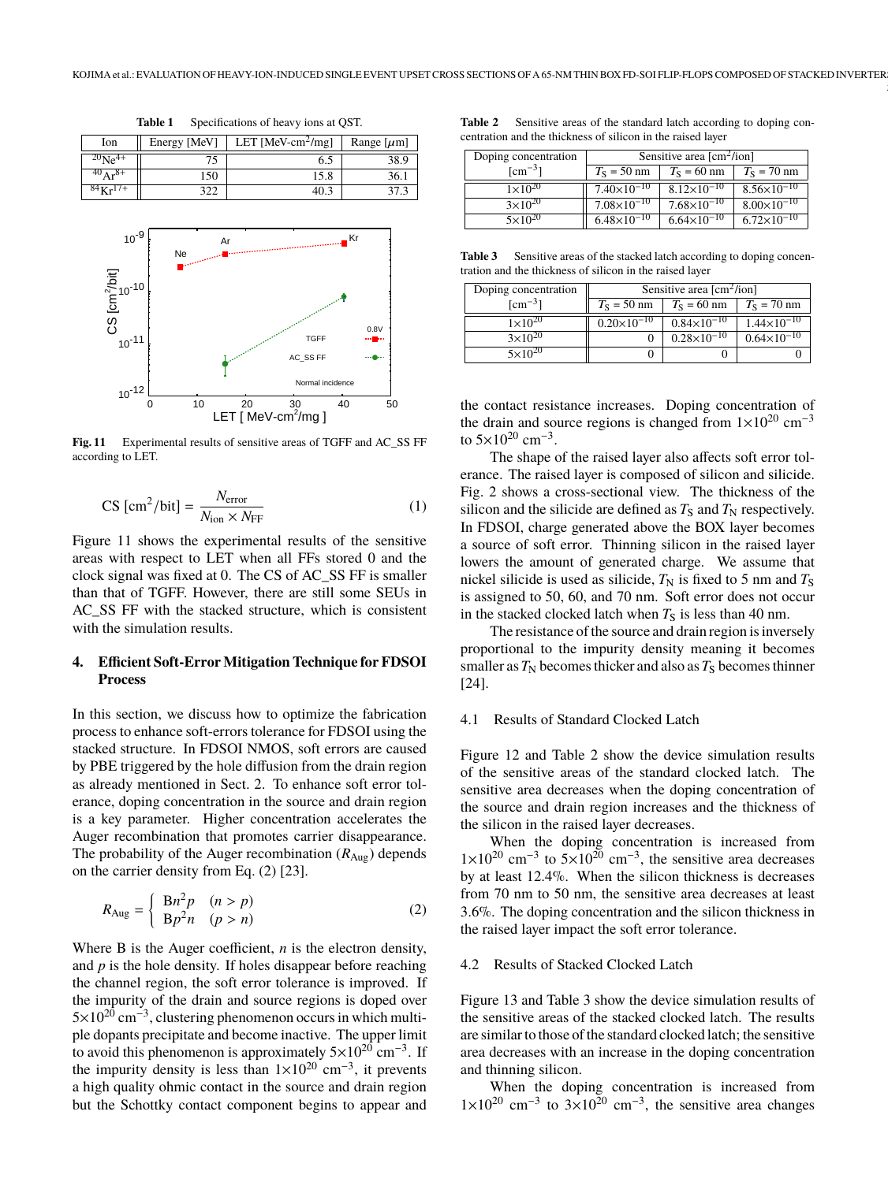$\lceil \mu m \rceil$ 

|                          | Table 1 | Specifications of heavy ions at OST.                            |      |
|--------------------------|---------|-----------------------------------------------------------------|------|
| Ion                      |         | Energy [MeV]   LET [MeV-cm <sup>2</sup> /mg]   Range [ $\mu$ m] |      |
| $^{20}$ Ne <sup>4+</sup> |         | 6.5                                                             | 38.9 |

 $40Ar^{8+}$  150 15.8 36.1



**Fig. 11** Experimental results of sensitive areas of TGFF and AC\_SS FF according to LET.

$$
\text{CS [cm}^2/\text{bit}] = \frac{N_{\text{error}}}{N_{\text{ion}} \times N_{\text{FF}}} \tag{1}
$$

Figure 11 shows the experimental results of the sensitive areas with respect to LET when all FFs stored 0 and the clock signal was fixed at 0. The CS of AC\_SS FF is smaller than that of TGFF. However, there are still some SEUs in AC\_SS FF with the stacked structure, which is consistent with the simulation results.

# **4. Efficient Soft-Error Mitigation Technique for FDSOI Process**

In this section, we discuss how to optimize the fabrication process to enhance soft-errors tolerance for FDSOI using the stacked structure. In FDSOI NMOS, soft errors are caused by PBE triggered by the hole diffusion from the drain region as already mentioned in Sect. 2. To enhance soft error tolerance, doping concentration in the source and drain region is a key parameter. Higher concentration accelerates the Auger recombination that promotes carrier disappearance. The probability of the Auger recombination  $(R_{\text{Aug}})$  depends on the carrier density from Eq. (2) [23].

$$
R_{\text{Aug}} = \begin{cases} Bn^2p & (n > p) \\ Bp^2n & (p > n) \end{cases} \tag{2}
$$

Where B is the Auger coefficient, *n* is the electron density, and *p* is the hole density. If holes disappear before reaching the channel region, the soft error tolerance is improved. If the impurity of the drain and source regions is doped over 5×10<sup>20</sup> cm<sup>-3</sup>, clustering phenomenon occurs in which multiple dopants precipitate and become inactive. The upper limit to avoid this phenomenon is approximately  $5\times10^{20}$  cm<sup>-3</sup>. If the impurity density is less than  $1 \times 10^{20}$  cm<sup>-3</sup>, it prevents a high quality ohmic contact in the source and drain region but the Schottky contact component begins to appear and

| Table 2 | Sensitive areas of the standard latch according to doping con- |  |  |
|---------|----------------------------------------------------------------|--|--|
|         | centration and the thickness of silicon in the raised laver    |  |  |

5

| Doping concentration               | Sensitive area $\text{[cm}^2/\text{ion}$ |                      |                        |
|------------------------------------|------------------------------------------|----------------------|------------------------|
| $\lceil$ cm <sup>-3</sup> $\rceil$ | $T_S = 50$ nm                            | $T_S = 60$ nm        | $T_S = 70$ nm          |
| $1 \times 10^{20}$                 | $7.40\times10^{-10}$                     | $8.12\times10^{-10}$ | $8.56 \times 10^{-10}$ |
| $3\times10^{20}$                   | $7.08\times10^{-10}$                     | $7.68\times10^{-10}$ | $8.00\times10^{-10}$   |
| $5 \times 10^{20}$                 | $6.48\times10^{-10}$                     | $6.64\times10^{-10}$ | $6.72\times10^{-10}$   |

**Table 3** Sensitive areas of the stacked latch according to doping concentration and the thickness of silicon in the raised layer

| Doping concentration               | Sensitive area $[cm^2/ion]$ |                        |                      |
|------------------------------------|-----------------------------|------------------------|----------------------|
| $\lceil$ cm <sup>-3</sup> $\rceil$ | $T_S = 50$ nm               | $T_S = 60$ nm          | $T_S = 70$ nm        |
| $1 \times 10^{20}$                 | $0.20\times10^{-10}$        | $0.84\times10^{-10}$   | $1.44\times10^{-10}$ |
| $3\times10^{20}$                   |                             | $0.28 \times 10^{-10}$ | $0.64\times10^{-10}$ |
| $5 \times 10^{20}$                 |                             |                        |                      |

the contact resistance increases. Doping concentration of the drain and source regions is changed from  $1\times10^{20}$  cm<sup>-3</sup> to  $5\times10^{20}$  cm<sup>-3</sup>.

The shape of the raised layer also affects soft error tolerance. The raised layer is composed of silicon and silicide. Fig. 2 shows a cross-sectional view. The thickness of the silicon and the silicide are defined as  $T<sub>S</sub>$  and  $T<sub>N</sub>$  respectively. In FDSOI, charge generated above the BOX layer becomes a source of soft error. Thinning silicon in the raised layer lowers the amount of generated charge. We assume that nickel silicide is used as silicide,  $T_N$  is fixed to 5 nm and  $T_S$ is assigned to 50, 60, and 70 nm. Soft error does not occur in the stacked clocked latch when  $T<sub>S</sub>$  is less than 40 nm.

The resistance of the source and drain region is inversely proportional to the impurity density meaning it becomes smaller as  $T_N$  becomes thicker and also as  $T_S$  becomes thinner [24].

## 4.1 Results of Standard Clocked Latch

Figure 12 and Table 2 show the device simulation results of the sensitive areas of the standard clocked latch. The sensitive area decreases when the doping concentration of the source and drain region increases and the thickness of the silicon in the raised layer decreases.

When the doping concentration is increased from  $1\times10^{20}$  cm<sup>-3</sup> to  $5\times10^{20}$  cm<sup>-3</sup>, the sensitive area decreases by at least 12.4%. When the silicon thickness is decreases from 70 nm to 50 nm, the sensitive area decreases at least 3.6%. The doping concentration and the silicon thickness in the raised layer impact the soft error tolerance.

#### 4.2 Results of Stacked Clocked Latch

Figure 13 and Table 3 show the device simulation results of the sensitive areas of the stacked clocked latch. The results are similar to those of the standard clocked latch; the sensitive area decreases with an increase in the doping concentration and thinning silicon.

When the doping concentration is increased from  $1\times10^{20}$  cm<sup>-3</sup> to  $3\times10^{20}$  cm<sup>-3</sup>, the sensitive area changes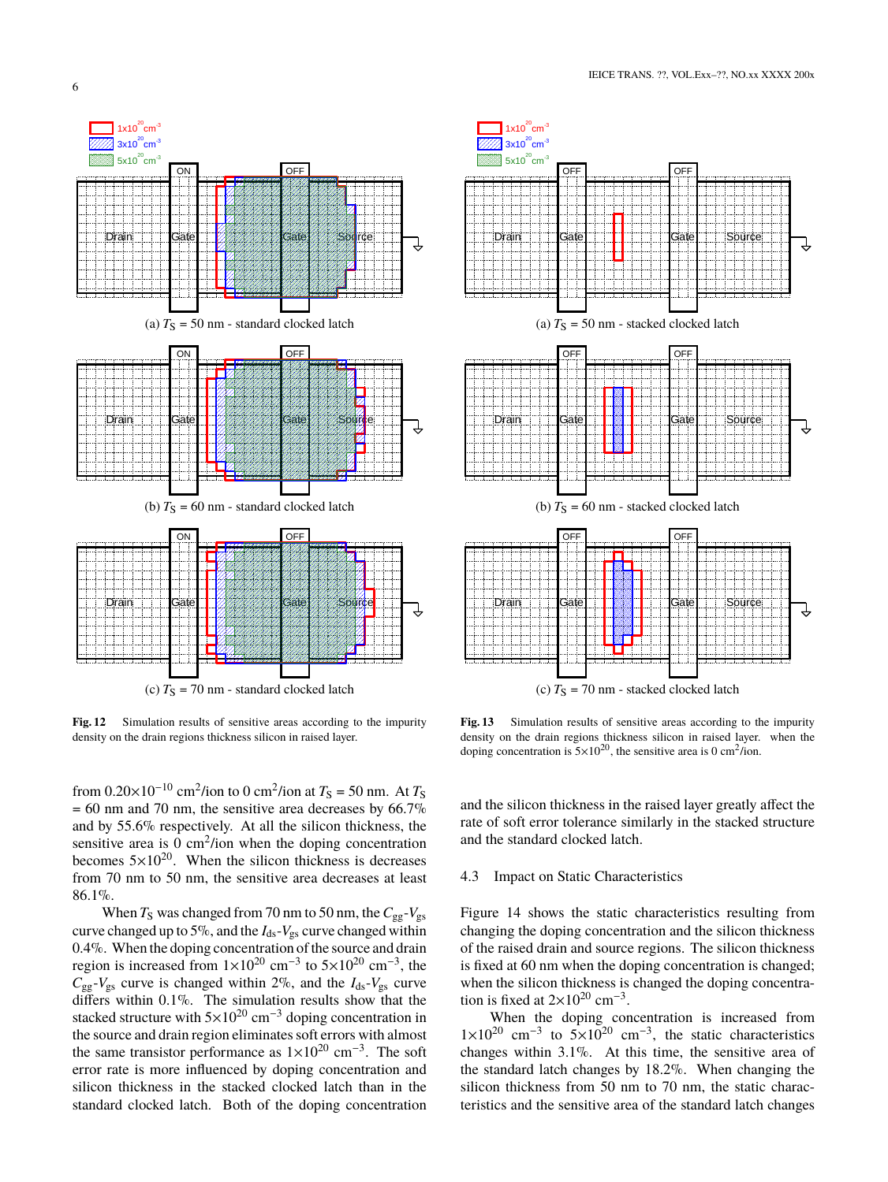

**Fig. 12** Simulation results of sensitive areas according to the impurity density on the drain regions thickness silicon in raised layer.

from  $0.20 \times 10^{-10}$  cm<sup>2</sup>/ion to 0 cm<sup>2</sup>/ion at  $T_s = 50$  nm. At  $T_s$  $= 60$  nm and 70 nm, the sensitive area decreases by 66.7% and by 55.6% respectively. At all the silicon thickness, the sensitive area is  $0 \text{ cm}^2$ /ion when the doping concentration becomes  $5\times10^{20}$ . When the silicon thickness is decreases from 70 nm to 50 nm, the sensitive area decreases at least 86.1%.

When  $T_S$  was changed from 70 nm to 50 nm, the  $C_{gg}$ - $V_{gs}$ curve changed up to 5%, and the *I*ds-*V*gs curve changed within 0.4%. When the doping concentration of the source and drain region is increased from  $1 \times 10^{20}$  cm<sup>-3</sup> to  $5 \times 10^{20}$  cm<sup>-3</sup>, the  $C_{gg}$ - $V_{gs}$  curve is changed within 2%, and the  $I_{ds}$ - $V_{gs}$  curve differs within 0.1%. The simulation results show that the stacked structure with  $5\times10^{20}$  cm<sup>-3</sup> doping concentration in the source and drain region eliminates soft errors with almost the same transistor performance as  $1 \times 10^{20}$  cm<sup>-3</sup>. The soft error rate is more influenced by doping concentration and silicon thickness in the stacked clocked latch than in the standard clocked latch. Both of the doping concentration



**Fig. 13** Simulation results of sensitive areas according to the impurity density on the drain regions thickness silicon in raised layer. when the doping concentration is  $5 \times 10^{20}$ , the sensitive area is 0 cm<sup>2</sup>/ion.

and the silicon thickness in the raised layer greatly affect the rate of soft error tolerance similarly in the stacked structure and the standard clocked latch.

## 4.3 Impact on Static Characteristics

Figure 14 shows the static characteristics resulting from changing the doping concentration and the silicon thickness of the raised drain and source regions. The silicon thickness is fixed at 60 nm when the doping concentration is changed; when the silicon thickness is changed the doping concentration is fixed at  $2\times10^{20}$  cm<sup>-3</sup>.

When the doping concentration is increased from  $1\times10^{20}$  cm<sup>-3</sup> to  $5\times10^{20}$  cm<sup>-3</sup>, the static characteristics changes within 3.1%. At this time, the sensitive area of the standard latch changes by 18.2%. When changing the silicon thickness from 50 nm to 70 nm, the static characteristics and the sensitive area of the standard latch changes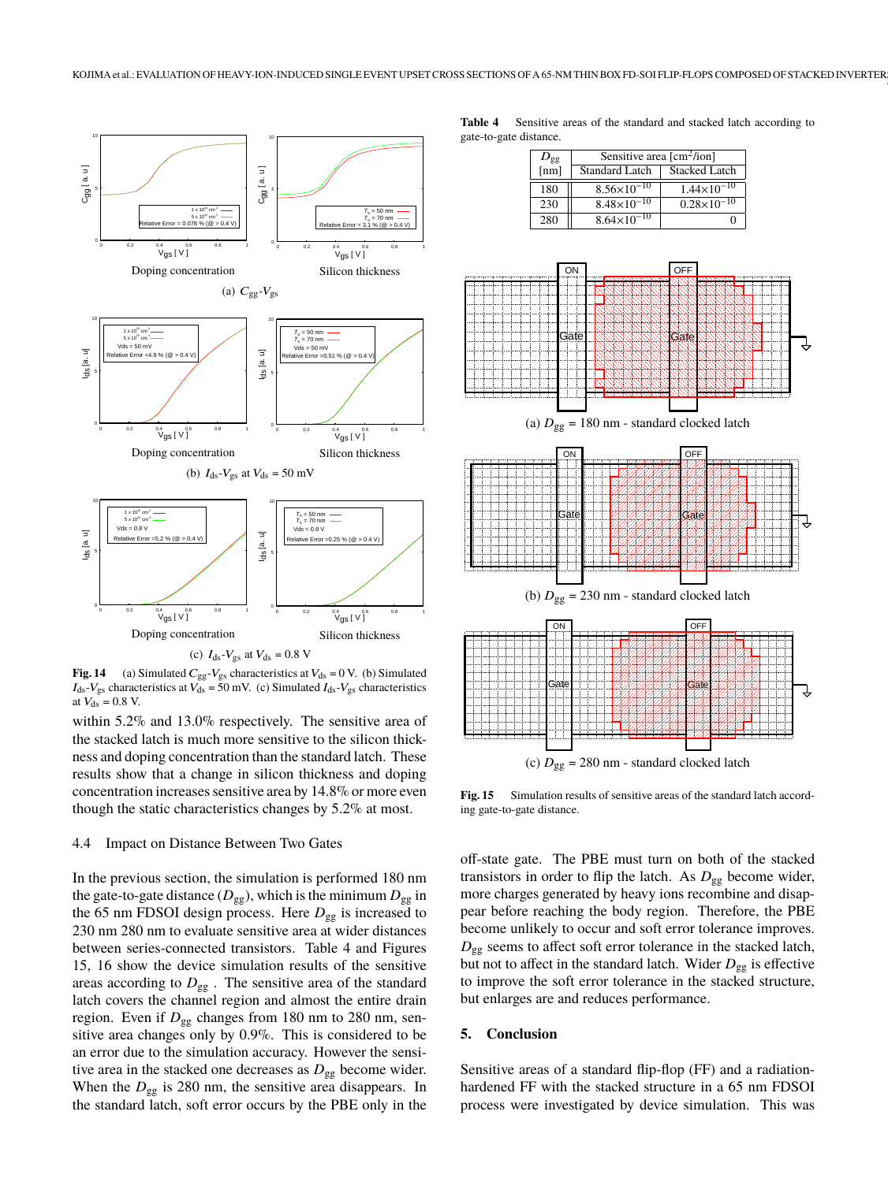

(c)  $I_{ds}$ - $V_{gs}$  at  $V_{ds}$  = 0.8 V

**Fig. 14** (a) Simulated  $C_{gg}$ - $V_{gs}$  characteristics at  $V_{ds} = 0$  V. (b) Simulated  $I_{ds}$ - $V_{gs}$  characteristics at  $V_{ds} = 50$  mV. (c) Simulated  $I_{ds}$ - $V_{gs}$  characteristics at  $V_{\text{ds}} = 0.8 \text{ V}$ .

within 5.2% and 13.0% respectively. The sensitive area of the stacked latch is much more sensitive to the silicon thickness and doping concentration than the standard latch. These results show that a change in silicon thickness and doping concentration increases sensitive area by 14.8% or more even though the static characteristics changes by 5.2% at most.

#### 4.4 Impact on Distance Between Two Gates

In the previous section, the simulation is performed 180 nm the gate-to-gate distance  $(D_{gg})$ , which is the minimum  $D_{gg}$  in the 65 nm FDSOI design process. Here *D*gg is increased to 230 nm 280 nm to evaluate sensitive area at wider distances between series-connected transistors. Table 4 and Figures 15, 16 show the device simulation results of the sensitive areas according to  $D_{gg}$ . The sensitive area of the standard latch covers the channel region and almost the entire drain region. Even if  $D_{gg}$  changes from 180 nm to 280 nm, sensitive area changes only by 0.9%. This is considered to be an error due to the simulation accuracy. However the sensitive area in the stacked one decreases as  $D_{gg}$  become wider. When the  $D_{gg}$  is 280 nm, the sensitive area disappears. In the standard latch, soft error occurs by the PBE only in the

**Table 4** Sensitive areas of the standard and stacked latch according to gate-to-gate distance.

7

| $D_{gg}$                 | Sensitive area $\text{[cm}^2\text{/ion]}$ |                        |  |
|--------------------------|-------------------------------------------|------------------------|--|
| $\overline{\text{[nm]}}$ | <b>Standard Latch</b>                     | <b>Stacked Latch</b>   |  |
| 180                      | $8.56 \times 10^{-10}$                    | $1.44 \times 10^{-10}$ |  |
| 230                      | $8.48\times10^{-10}$                      | $0.28\times10^{-10}$   |  |
| 280                      | $8.64\times10^{-10}$                      |                        |  |



**Fig. 15** Simulation results of sensitive areas of the standard latch according gate-to-gate distance.

off-state gate. The PBE must turn on both of the stacked transistors in order to flip the latch. As  $D_{gg}$  become wider, more charges generated by heavy ions recombine and disappear before reaching the body region. Therefore, the PBE become unlikely to occur and soft error tolerance improves. *D*gg seems to affect soft error tolerance in the stacked latch, but not to affect in the standard latch. Wider *D*gg is effective to improve the soft error tolerance in the stacked structure, but enlarges are and reduces performance.

#### **5. Conclusion**

Sensitive areas of a standard flip-flop (FF) and a radiationhardened FF with the stacked structure in a 65 nm FDSOI process were investigated by device simulation. This was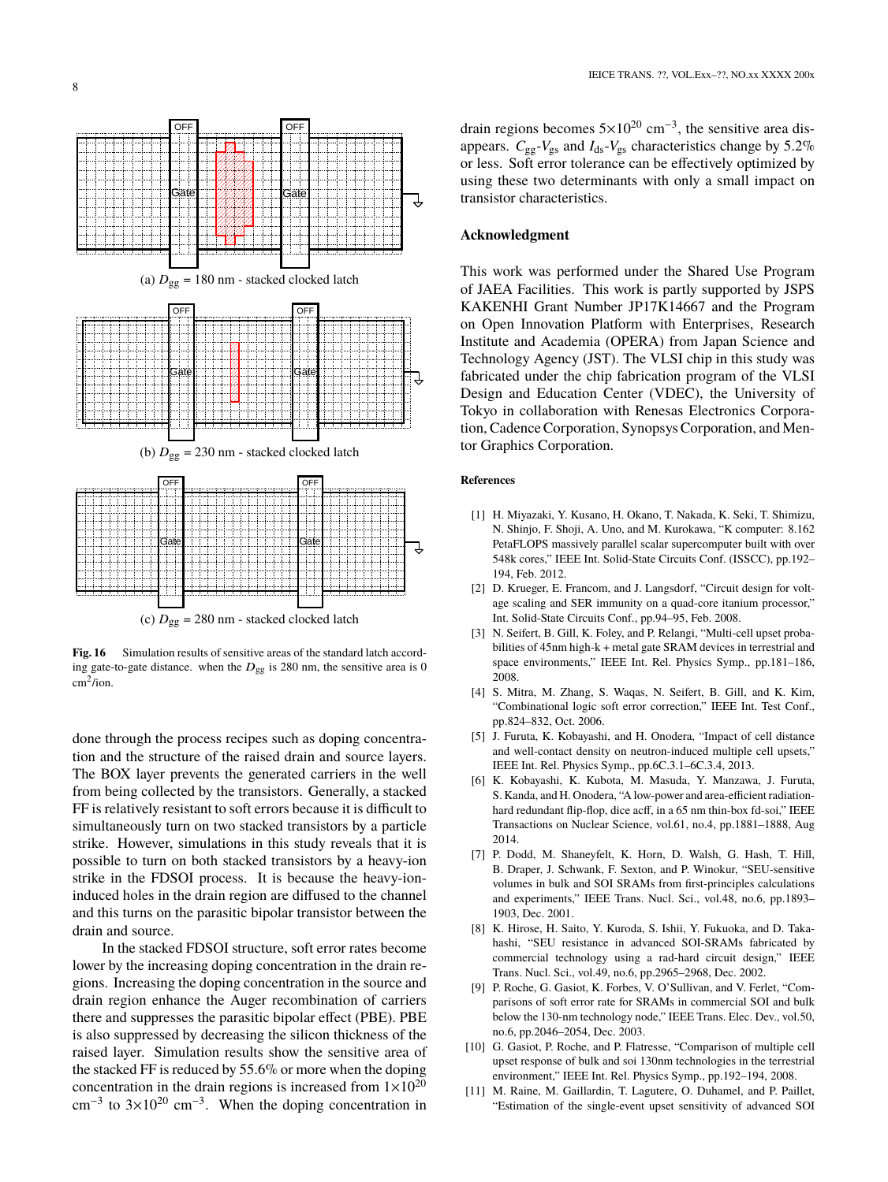

Fig. 16 Simulation results of sensitive areas of the standard latch according gate-to-gate distance. when the  $D_{gg}$  is 280 nm, the sensitive area is 0 cm<sup>2</sup> /ion.

done through the process recipes such as doping concentration and the structure of the raised drain and source layers. The BOX layer prevents the generated carriers in the well from being collected by the transistors. Generally, a stacked FF is relatively resistant to soft errors because it is difficult to simultaneously turn on two stacked transistors by a particle strike. However, simulations in this study reveals that it is possible to turn on both stacked transistors by a heavy-ion strike in the FDSOI process. It is because the heavy-ioninduced holes in the drain region are diffused to the channel and this turns on the parasitic bipolar transistor between the drain and source.

In the stacked FDSOI structure, soft error rates become lower by the increasing doping concentration in the drain regions. Increasing the doping concentration in the source and drain region enhance the Auger recombination of carriers there and suppresses the parasitic bipolar effect (PBE). PBE is also suppressed by decreasing the silicon thickness of the raised layer. Simulation results show the sensitive area of the stacked FF is reduced by 55.6% or more when the doping concentration in the drain regions is increased from  $1 \times 10^{20}$  $\text{cm}^{-3}$  to 3×10<sup>20</sup> cm<sup>-3</sup>. When the doping concentration in

drain regions becomes  $5 \times 10^{20}$  cm<sup>-3</sup>, the sensitive area disappears.  $C_{gg}$ - $V_{gs}$  and  $I_{ds}$ - $V_{gs}$  characteristics change by 5.2% or less. Soft error tolerance can be effectively optimized by using these two determinants with only a small impact on transistor characteristics.

#### **Acknowledgment**

This work was performed under the Shared Use Program of JAEA Facilities. This work is partly supported by JSPS KAKENHI Grant Number JP17K14667 and the Program on Open Innovation Platform with Enterprises, Research Institute and Academia (OPERA) from Japan Science and Technology Agency (JST). The VLSI chip in this study was fabricated under the chip fabrication program of the VLSI Design and Education Center (VDEC), the University of Tokyo in collaboration with Renesas Electronics Corporation, Cadence Corporation, Synopsys Corporation, and Mentor Graphics Corporation.

#### **References**

- [1] H. Miyazaki, Y. Kusano, H. Okano, T. Nakada, K. Seki, T. Shimizu, N. Shinjo, F. Shoji, A. Uno, and M. Kurokawa, "K computer: 8.162 PetaFLOPS massively parallel scalar supercomputer built with over 548k cores," IEEE Int. Solid-State Circuits Conf. (ISSCC), pp.192– 194, Feb. 2012.
- [2] D. Krueger, E. Francom, and J. Langsdorf, "Circuit design for voltage scaling and SER immunity on a quad-core itanium processor," Int. Solid-State Circuits Conf., pp.94–95, Feb. 2008.
- [3] N. Seifert, B. Gill, K. Foley, and P. Relangi, "Multi-cell upset probabilities of 45nm high-k + metal gate SRAM devices in terrestrial and space environments," IEEE Int. Rel. Physics Symp., pp.181–186, 2008.
- [4] S. Mitra, M. Zhang, S. Waqas, N. Seifert, B. Gill, and K. Kim, "Combinational logic soft error correction," IEEE Int. Test Conf., pp.824–832, Oct. 2006.
- [5] J. Furuta, K. Kobayashi, and H. Onodera, "Impact of cell distance and well-contact density on neutron-induced multiple cell upsets," IEEE Int. Rel. Physics Symp., pp.6C.3.1–6C.3.4, 2013.
- [6] K. Kobayashi, K. Kubota, M. Masuda, Y. Manzawa, J. Furuta, S. Kanda, and H. Onodera, "A low-power and area-efficient radiationhard redundant flip-flop, dice acff, in a 65 nm thin-box fd-soi," IEEE Transactions on Nuclear Science, vol.61, no.4, pp.1881–1888, Aug 2014.
- [7] P. Dodd, M. Shaneyfelt, K. Horn, D. Walsh, G. Hash, T. Hill, B. Draper, J. Schwank, F. Sexton, and P. Winokur, "SEU-sensitive volumes in bulk and SOI SRAMs from first-principles calculations and experiments," IEEE Trans. Nucl. Sci., vol.48, no.6, pp.1893– 1903, Dec. 2001.
- [8] K. Hirose, H. Saito, Y. Kuroda, S. Ishii, Y. Fukuoka, and D. Takahashi, "SEU resistance in advanced SOI-SRAMs fabricated by commercial technology using a rad-hard circuit design," IEEE Trans. Nucl. Sci., vol.49, no.6, pp.2965–2968, Dec. 2002.
- [9] P. Roche, G. Gasiot, K. Forbes, V. O'Sullivan, and V. Ferlet, "Comparisons of soft error rate for SRAMs in commercial SOI and bulk below the 130-nm technology node," IEEE Trans. Elec. Dev., vol.50, no.6, pp.2046–2054, Dec. 2003.
- [10] G. Gasiot, P. Roche, and P. Flatresse, "Comparison of multiple cell upset response of bulk and soi 130nm technologies in the terrestrial environment," IEEE Int. Rel. Physics Symp., pp.192–194, 2008.
- [11] M. Raine, M. Gaillardin, T. Lagutere, O. Duhamel, and P. Paillet, "Estimation of the single-event upset sensitivity of advanced SOI